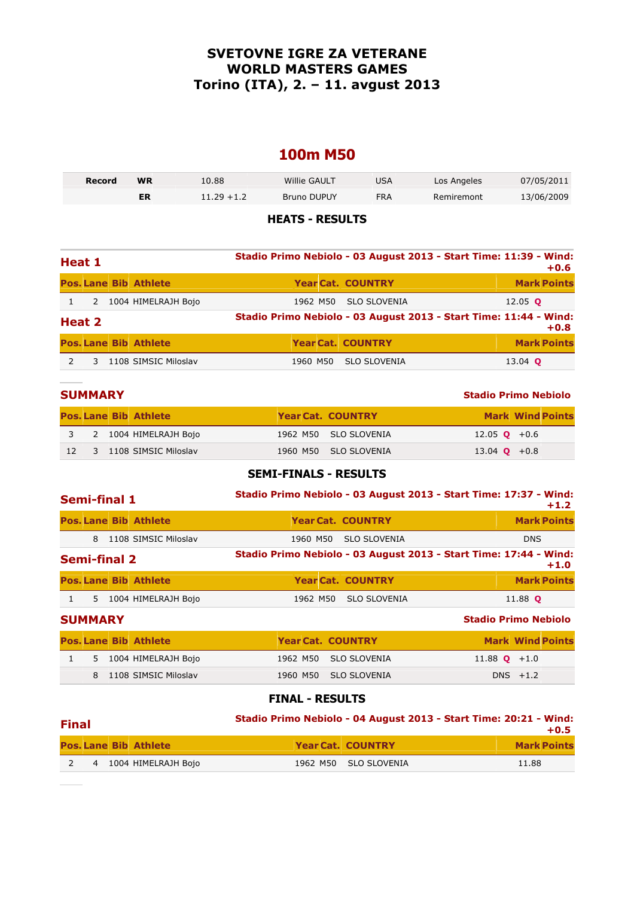### **SVETOVNE IGRE ZA VETERANE WORLD MASTERS GAMES Torino (ITA), 2. – 11. avgust 2013**

### **100m M50**

| Record | WR | 10.88         | Willie GAULT | USA | Los Angeles | 07/05/2011 |
|--------|----|---------------|--------------|-----|-------------|------------|
|        | ER | $11.29 + 1.2$ | Bruno DUPUY  | FRA | Remiremont  | 13/06/2009 |

#### **HEATS - RESULTS**

| Heat 1 |   |  |                              |          | Stadio Primo Nebiolo - 03 August 2013 - Start Time: 11:39 - Wind:<br>$+0.6$ |                                                                   |                    |  |  |  |
|--------|---|--|------------------------------|----------|-----------------------------------------------------------------------------|-------------------------------------------------------------------|--------------------|--|--|--|
|        |   |  | <b>Pos. Lane Bib Athlete</b> |          |                                                                             | <b>Year Cat. COUNTRY</b>                                          | <b>Mark Points</b> |  |  |  |
|        | 2 |  | 1004 HIMELRAJH Bojo          | 1962 M50 |                                                                             | <b>SLO SLOVENIA</b>                                               | 12.05 $\circ$      |  |  |  |
| Heat 2 |   |  |                              |          |                                                                             | Stadio Primo Nebiolo - 03 August 2013 - Start Time: 11:44 - Wind: | $+0.8$             |  |  |  |
|        |   |  | <b>Pos. Lane Bib Athlete</b> |          |                                                                             | <b>Year Cat. COUNTRY</b>                                          | <b>Mark Points</b> |  |  |  |
|        |   |  | 1108 SIMSIC Miloslav         | 1960 M50 |                                                                             | <b>SLO SLOVENIA</b>                                               | 13.04 <b>Q</b>     |  |  |  |

|                 | <b>SUMMARY</b> |                              |                          | <b>Stadio Primo Nebiolo</b> |                         |
|-----------------|----------------|------------------------------|--------------------------|-----------------------------|-------------------------|
|                 |                | <b>Pos. Lane Bib Athlete</b> | <b>Year Cat. COUNTRY</b> |                             | <b>Mark Wind Points</b> |
|                 |                | 3 2 1004 HIMELRAJH Bojo      | 1962 M50 SLO SLOVENIA    | 12.05 <b>Q</b> +0.6         |                         |
| 12 <sup>7</sup> |                | 3 1108 SIMSIC Miloslav       | 1960 M50 SLO SLOVENIA    | 13.04 <b>Q</b> +0.8         |                         |

#### **SEMI-FINALS - RESULTS**

| Semi-final 1                             | Stadio Primo Nebiolo - 03 August 2013 - Start Time: 17:37 - Wind: | $+1.2$                      |
|------------------------------------------|-------------------------------------------------------------------|-----------------------------|
| <b>Pos. Lane Bib Athlete</b>             | <b>Year Cat. COUNTRY</b>                                          | <b>Mark Points</b>          |
| 8<br>1108 SIMSIC Miloslav                | <b>SLO SLOVENIA</b><br>1960 M50                                   | <b>DNS</b>                  |
| <b>Semi-final 2</b>                      | Stadio Primo Nebiolo - 03 August 2013 - Start Time: 17:44 - Wind: | $+1.0$                      |
| <b>Pos. Lane Bib Athlete</b>             | <b>Year Cat. COUNTRY</b>                                          | <b>Mark Points</b>          |
| $\mathbf{1}$<br>5 1004 HIMELRAJH Bojo    | <b>SLO SLOVENIA</b><br>1962 M50                                   | 11.88 <b>Q</b>              |
| <b>SUMMARY</b>                           |                                                                   | <b>Stadio Primo Nebiolo</b> |
| <b>Pos. Lane Bib Athlete</b>             | <b>Year Cat. COUNTRY</b>                                          | <b>Mark Wind Points</b>     |
| $\mathbf{1}$<br>1004 HIMELRAJH Bojo<br>5 | <b>SLO SLOVENIA</b><br>1962 M50                                   | 11.88 $\bullet$ +1.0        |
| 1108 SIMSIC Miloslav<br>8                | <b>SLO SLOVENIA</b><br>1960 M50                                   | $DNS + 1.2$                 |

| <b>Final</b> |  |  |                              | Stadio Primo Nebiolo - 04 August 2013 - Start Time: 20:21 - Wind:<br>$+0.5$ |  |                          |                    |  |
|--------------|--|--|------------------------------|-----------------------------------------------------------------------------|--|--------------------------|--------------------|--|
|              |  |  | <b>Pos. Lane Bib Athlete</b> |                                                                             |  | <b>Year Cat. COUNTRY</b> | <b>Mark Points</b> |  |
|              |  |  | 4 1004 HIMELRAJH Boio        |                                                                             |  | 1962 M50 SLO SLOVENIA    | 11.88              |  |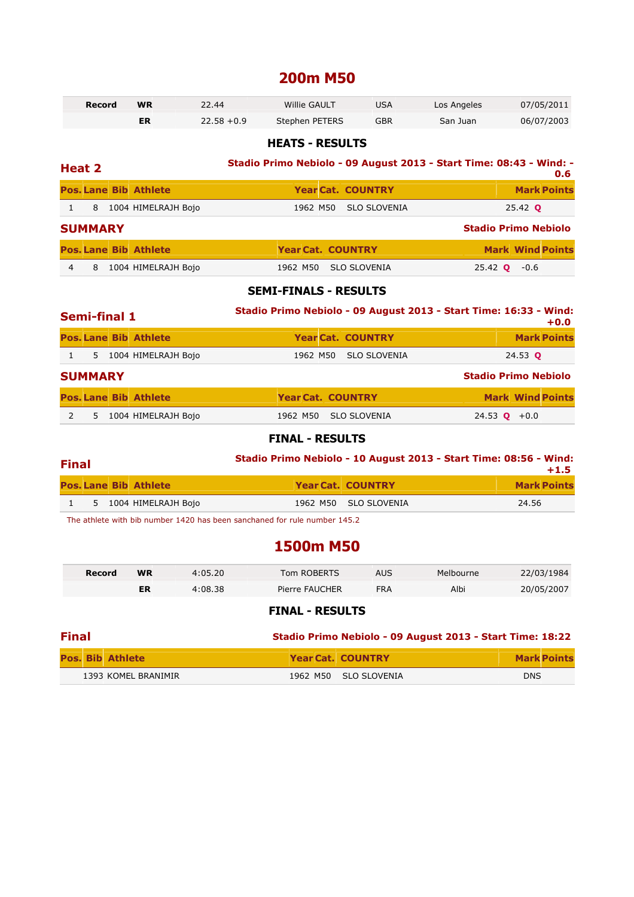### **200m M50**

| Record | <b>WR</b> | 22.44         | <b>Willie GAULT</b> | USA        | Los Angeles | 07/05/2011 |
|--------|-----------|---------------|---------------------|------------|-------------|------------|
|        |           | $22.58 + 0.9$ | Stephen PETERS      | <b>GBR</b> | San Juan    | 06/07/2003 |

#### **HEATS - RESULTS**

# **Heat 2 Stadio Primo Nebiolo - 09 August 2013 - Start Time: 08:43 - Wind: - 0.6**

|                                 |                |                              |                          |                          |                         | v.o                         |
|---------------------------------|----------------|------------------------------|--------------------------|--------------------------|-------------------------|-----------------------------|
|                                 |                | <b>Pos. Lane Bib Athlete</b> |                          | <b>Year Cat. COUNTRY</b> |                         | <b>Mark Points</b>          |
| $\left\lfloor -1 \right\rfloor$ | 8              | 1004 HIMELRAJH Bojo          |                          | 1962 M50 SLO SLOVENIA    |                         | 25.42 <b>Q</b>              |
|                                 | <b>SUMMARY</b> |                              |                          |                          |                         | <b>Stadio Primo Nebiolo</b> |
|                                 |                | <b>Pos. Lane Bib Athlete</b> | <b>Year Cat. COUNTRY</b> |                          |                         | <b>Mark Wind Points</b>     |
| 4                               | 8              | 1004 HIMELRAJH Bojo          |                          | 1962 M50 SLO SLOVENIA    | $25.42$ <b>Q</b> $-0.6$ |                             |

#### **SEMI-FINALS - RESULTS**

|   | <b>Semi-final 1</b>          |                     | Stadio Primo Nebiolo - 09 August 2013 - Start Time: 16:33 - Wind:<br>$+0.0$ |                          |                       |                             |  |
|---|------------------------------|---------------------|-----------------------------------------------------------------------------|--------------------------|-----------------------|-----------------------------|--|
|   | <b>Pos. Lane Bib Athlete</b> |                     |                                                                             | <b>Year Cat. COUNTRY</b> |                       | <b>Mark Points</b>          |  |
|   | 5                            | 1004 HIMELRAJH Bojo | 1962 M50                                                                    | <b>SLO SLOVENIA</b>      |                       | 24.53 <b>Q</b>              |  |
|   | <b>SUMMARY</b>               |                     |                                                                             |                          |                       | <b>Stadio Primo Nebiolo</b> |  |
|   | <b>Pos. Lane Bib Athlete</b> |                     |                                                                             | <b>Year Cat. COUNTRY</b> |                       | <b>Mark Wind Points</b>     |  |
| 2 | 5.                           | 1004 HIMELRAJH Bojo | 1962 M50                                                                    | <b>SLO SLOVENIA</b>      | 24.53 <b>Q</b> $+0.0$ |                             |  |

#### **FINAL - RESULTS**

### **Final Stadio Primo Nebiolo - 10 August 2013 - Start Time: 08:56 - Wind:**

| гшаг |                              |                          | $+1.5$             |
|------|------------------------------|--------------------------|--------------------|
|      | <b>Pos. Lane Bib Athlete</b> | <b>Year Cat. COUNTRY</b> | <b>Mark Points</b> |
|      | 5 1004 HIMELRAJH Bojo        | 1962 M50 SLO SLOVENIA    | 24.56              |
|      |                              |                          |                    |

The athlete with bib number 1420 has been sanchaned for rule number 145.2

### **1500m M50**

| Record | <b>WR</b> | 4:05.20 | Tom ROBERTS    | AUS  | Melbourne | 22/03/1984 |
|--------|-----------|---------|----------------|------|-----------|------------|
|        | ER        | 4:08.38 | Pierre FAUCHER | FRA. | Albi      | 20/05/2007 |

| <b>Final</b> |                         | Stadio Primo Nebiolo - 09 August 2013 - Start Time: 18:22 |                          |                    |
|--------------|-------------------------|-----------------------------------------------------------|--------------------------|--------------------|
|              | <b>Pos. Bib Athlete</b> |                                                           | <b>Year Cat. COUNTRY</b> | <b>Mark Points</b> |
|              | 1393 KOMEL BRANIMIR     |                                                           | 1962 M50 SLO SLOVENIA    | <b>DNS</b>         |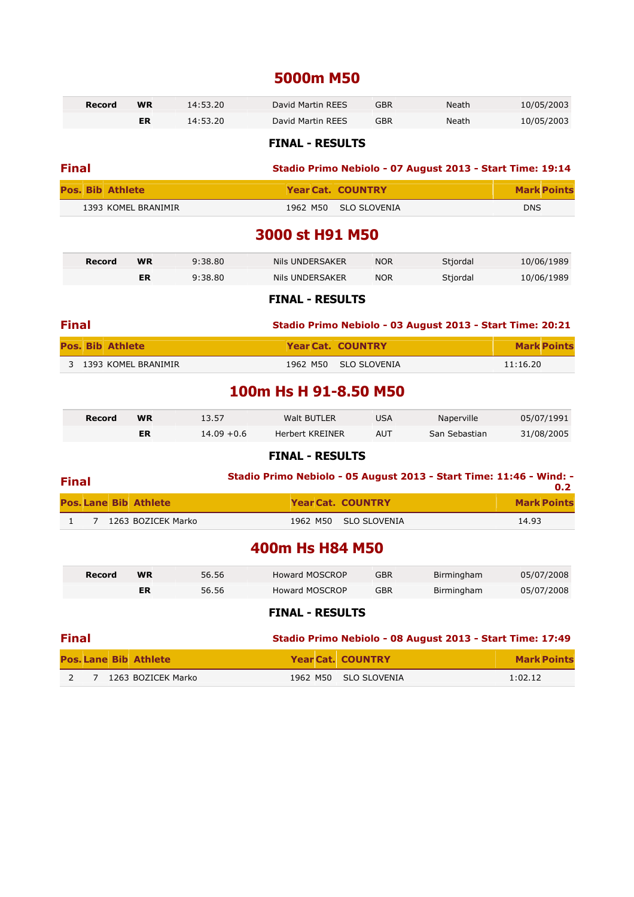### **5000m M50**

|              | <b>Record</b>                | <b>WR</b>          | 14:53.20      | <b>David Martin REES</b>                                            | <b>GBR</b>          | <b>Neath</b>  | 10/05/2003         |
|--------------|------------------------------|--------------------|---------------|---------------------------------------------------------------------|---------------------|---------------|--------------------|
|              |                              | <b>ER</b>          | 14:53.20      | David Martin REES                                                   | <b>GBR</b>          | Neath         | 10/05/2003         |
|              |                              |                    |               | <b>FINAL - RESULTS</b>                                              |                     |               |                    |
| <b>Final</b> |                              |                    |               | Stadio Primo Nebiolo - 07 August 2013 - Start Time: 19:14           |                     |               |                    |
|              | <b>Pos. Bib Athlete</b>      |                    |               | <b>Year Cat. COUNTRY</b>                                            |                     |               | <b>Mark Points</b> |
|              | 1393 KOMEL BRANIMIR          |                    |               | 1962 M50                                                            | <b>SLO SLOVENIA</b> |               | <b>DNS</b>         |
|              |                              |                    |               | 3000 st H91 M50                                                     |                     |               |                    |
|              | Record                       | <b>WR</b>          | 9:38.80       | Nils UNDERSAKER                                                     | <b>NOR</b>          | Stjordal      | 10/06/1989         |
|              |                              | <b>ER</b>          | 9:38.80       | Nils UNDERSAKER                                                     | <b>NOR</b>          | Stjordal      | 10/06/1989         |
|              |                              |                    |               | <b>FINAL - RESULTS</b>                                              |                     |               |                    |
| <b>Final</b> |                              |                    |               | Stadio Primo Nebiolo - 03 August 2013 - Start Time: 20:21           |                     |               |                    |
|              | <b>Pos. Bib Athlete</b>      |                    |               | <b>Year Cat. COUNTRY</b>                                            |                     |               | <b>Mark Points</b> |
| 3            | 1393 KOMEL BRANIMIR          |                    |               | 1962 M50                                                            | <b>SLO SLOVENIA</b> |               | 11:16.20           |
|              |                              |                    |               | 100m Hs H 91-8.50 M50                                               |                     |               |                    |
|              | Record                       | <b>WR</b>          | 13.57         | Walt BUTLER                                                         | <b>USA</b>          | Naperville    | 05/07/1991         |
|              |                              | <b>ER</b>          | $14.09 + 0.6$ | <b>Herbert KREINER</b>                                              | <b>AUT</b>          | San Sebastian | 31/08/2005         |
|              |                              |                    |               | <b>FINAL - RESULTS</b>                                              |                     |               |                    |
| <b>Final</b> |                              |                    |               | Stadio Primo Nebiolo - 05 August 2013 - Start Time: 11:46 - Wind: - |                     |               |                    |
|              |                              |                    |               |                                                                     |                     |               | 0.2                |
|              | <b>Pos. Lane Bib Athlete</b> |                    |               | <b>Year Cat. COUNTRY</b>                                            |                     |               | <b>Mark Points</b> |
| $\mathbf{1}$ | $7^{\circ}$                  | 1263 BOZICEK Marko |               | 1962 M50                                                            | <b>SLO SLOVENIA</b> |               | 14.93              |
|              |                              |                    |               | 400m Hs H84 M50                                                     |                     |               |                    |
|              | <b>Record</b>                | <b>WR</b>          | 56.56         | <b>Howard MOSCROP</b>                                               | <b>GBR</b>          | Birmingham    | 05/07/2008         |
|              |                              | ER                 | 56.56         | <b>Howard MOSCROP</b>                                               | <b>GBR</b>          | Birmingham    | 05/07/2008         |
|              |                              |                    |               | <b>FINAL - RESULTS</b>                                              |                     |               |                    |
| <b>Final</b> |                              |                    |               | Stadio Primo Nebiolo - 08 August 2013 - Start Time: 17:49           |                     |               |                    |
|              | <b>Pos. Lane Bib Athlete</b> |                    |               | <b>Year Cat. COUNTRY</b>                                            |                     |               | <b>Mark Points</b> |

**Pos. Lane Bib Athlete Year Cat. COUNTRY Mark Points** 2 7 1263 BOZICEK Marko 1962 M50 SLO SLOVENIA 1:02.12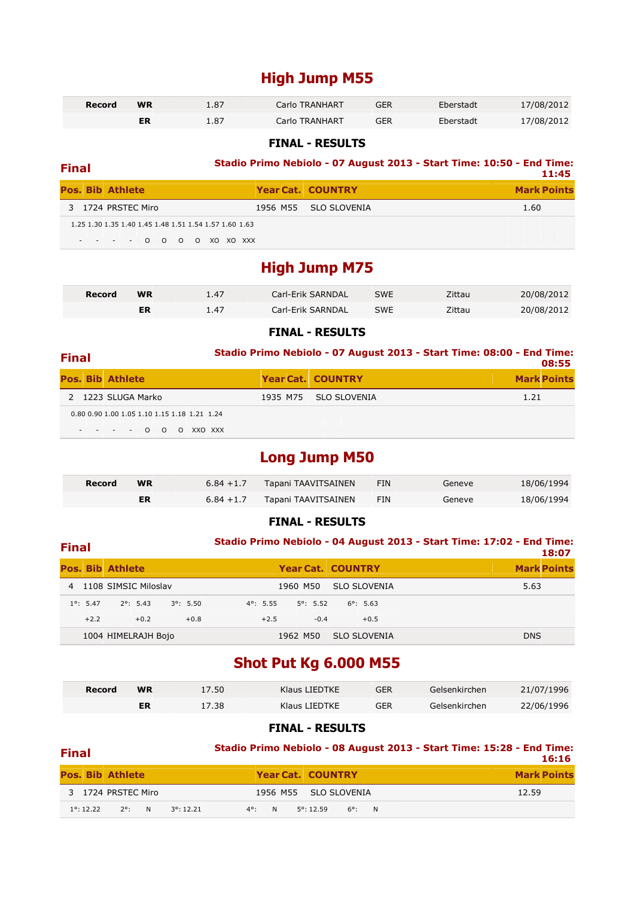### **High Jump M55**

| Record | <b>WR</b> | 1.87 | Carlo TRANHART | GER        | Eberstadt | 17/08/2012 |
|--------|-----------|------|----------------|------------|-----------|------------|
|        | ER        | 1.87 | Carlo TRANHART | <b>GER</b> | Eberstadt | 17/08/2012 |

#### **FINAL - RESULTS**

## **Final Stadio Primo Nebiolo - 07 August 2013 - Start Time: 10:50 - End Time: 11:45**

|                                                        |                          | 11:43              |
|--------------------------------------------------------|--------------------------|--------------------|
| <b>Pos. Bib Athlete</b>                                | <b>Year Cat. COUNTRY</b> | <b>Mark Points</b> |
| 3 1724 PRSTEC Miro                                     | 1956 M55 SLO SLOVENIA    | 1.60               |
| 1.25 1.30 1.35 1.40 1.45 1.48 1.51 1.54 1.57 1.60 1.63 |                          |                    |
| - - - - 0 0 0 0 XO XO XXX                              |                          |                    |

### **High Jump M75**

| Record | <b>WR</b> | 1.47 | Carl-Erik SARNDAL | <b>SWE</b> | Zittau | 20/08/2012 |
|--------|-----------|------|-------------------|------------|--------|------------|
|        | ΕR        | 1.47 | Carl-Erik SARNDAL | <b>SWE</b> | Zittau | 20/08/2012 |

#### **FINAL - RESULTS**

| <b>Final</b>            |                                              | Stadio Primo Nebiolo - 07 August 2013 - Start Time: 08:00 - End Time:<br>08:55 |                          |                    |  |  |  |
|-------------------------|----------------------------------------------|--------------------------------------------------------------------------------|--------------------------|--------------------|--|--|--|
| <b>Pos. Bib Athlete</b> |                                              |                                                                                | <b>Year Cat. COUNTRY</b> | <b>Mark Points</b> |  |  |  |
| 2 1223 SLUGA Marko      |                                              |                                                                                | 1935 M75 SLO SLOVENIA    | 1.21               |  |  |  |
|                         | 0.80 0.90 1.00 1.05 1.10 1.15 1.18 1.21 1.24 |                                                                                |                          |                    |  |  |  |
|                         | $- - - - 0 0$<br>O XXO XXX                   |                                                                                |                          |                    |  |  |  |

### **Long Jump M50**

| Record | <b>WR</b> | $6.84 + 1.7$ | Tapani TAAVITSAINEN | FIN | Geneve | 18/06/1994 |
|--------|-----------|--------------|---------------------|-----|--------|------------|
|        | ER        | $6.84 + 1.7$ | Tapani TAAVITSAINEN | FIN | Geneve | 18/06/1994 |

#### **FINAL - RESULTS**

| <b>Final</b> |                    |                         |                    |                    |        |                    |          |                    |                          |        | Stadio Primo Nebiolo - 04 August 2013 - Start Time: 17:02 - End Time:<br>18:07 |
|--------------|--------------------|-------------------------|--------------------|--------------------|--------|--------------------|----------|--------------------|--------------------------|--------|--------------------------------------------------------------------------------|
|              |                    | <b>Pos. Bib Athlete</b> |                    |                    |        |                    |          |                    | <b>Year Cat. COUNTRY</b> |        | <b>Mark Points</b>                                                             |
|              |                    | 4 1108 SIMSIC Miloslav  |                    |                    |        |                    | 1960 M50 |                    | SLO SLOVENIA             |        | 5.63                                                                           |
|              | $1^{\circ}$ : 5.47 |                         | $2^{\circ}$ : 5.43 | $3^{\circ}$ : 5.50 |        | $4^{\circ}$ : 5.55 |          | $5^{\circ}$ : 5.52 | $6^{\circ}$ : 5.63       |        |                                                                                |
|              | $+2.2$             |                         | $+0.2$             |                    | $+0.8$ | $+2.5$             |          | $-0.4$             |                          | $+0.5$ |                                                                                |
|              |                    | 1004 HIMELRAJH Bojo     |                    |                    |        |                    | 1962 M50 |                    | <b>SLO SLOVENIA</b>      |        | <b>DNS</b>                                                                     |

### **Shot Put Kg 6.000 M55**

| Record | <b>WR</b> | 17.50 | Klaus LIEDTKE | <b>GER</b> | Gelsenkirchen | 21/07/1996 |
|--------|-----------|-------|---------------|------------|---------------|------------|
|        | ER        | 17.38 | Klaus LIEDTKE | <b>GER</b> | Gelsenkirchen | 22/06/1996 |

| <b>Final</b> |                     |                         |   |                     | Stadio Primo Nebiolo - 08 August 2013 - Start Time: 15:28 - End Time: |  |  |                       | 16:16           |  |  |                    |
|--------------|---------------------|-------------------------|---|---------------------|-----------------------------------------------------------------------|--|--|-----------------------|-----------------|--|--|--------------------|
|              |                     | <b>Pos. Bib Athlete</b> |   |                     |                                                                       |  |  | Year Cat. COUNTRY     |                 |  |  | <b>Mark Points</b> |
|              |                     | 3 1724 PRSTEC Miro      |   |                     |                                                                       |  |  | 1956 M55 SLO SLOVENIA |                 |  |  | 12.59              |
|              | $1^{\circ}$ : 12.22 | $2^{\circ}$             | N | $3^{\circ}$ : 12.21 | N<br>$4^{\circ}$ :                                                    |  |  | $5^{\circ}$ : 12.59   | $6^{\circ}$ : N |  |  |                    |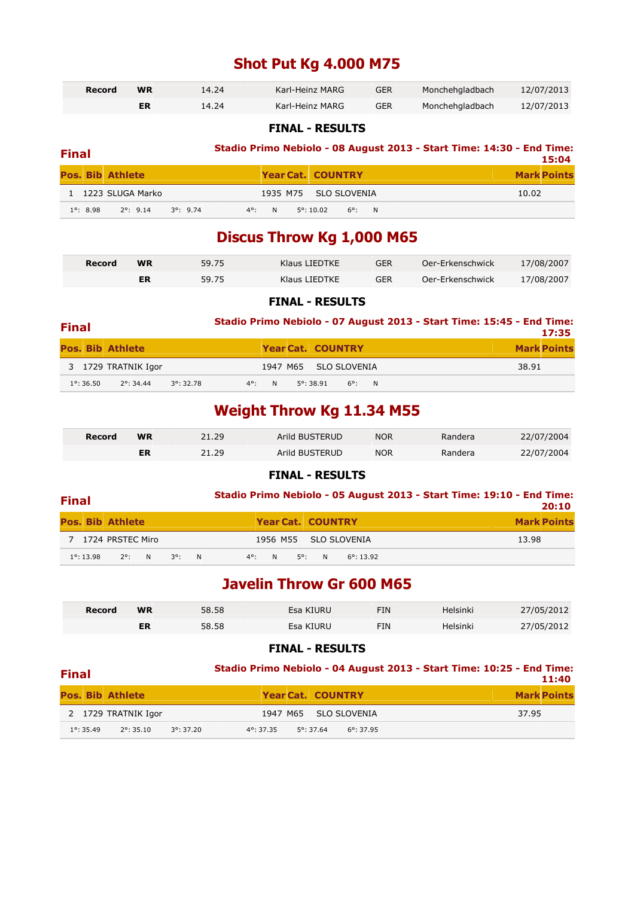### **Shot Put Kg 4.000 M75**

| Record | <b>WR</b> | 14.24 | Karl-Heinz MARG | <b>GER</b> | Monchehgladbach | 12/07/2013 |
|--------|-----------|-------|-----------------|------------|-----------------|------------|
|        | ER        | 14.24 | Karl-Heinz MARG | GER        | Monchehgladbach | 12/07/2013 |

#### **FINAL - RESULTS**

| <b>Final</b> |                  |                         |                    | Stadio Primo Nebiolo - 08 August 2013 - Start Time: 14:30 - End Time:<br>15:04 |                           |                    |  |  |
|--------------|------------------|-------------------------|--------------------|--------------------------------------------------------------------------------|---------------------------|--------------------|--|--|
|              |                  | <b>Pos. Bib Athlete</b> |                    |                                                                                | <b>Year Cat. COUNTRY</b>  | <b>Mark Points</b> |  |  |
|              |                  | 1 1223 SLUGA Marko      |                    |                                                                                | 1935 M75 SLO SLOVENIA     | 10.02              |  |  |
|              | $1^\circ$ : 8.98 | $2^{\circ}$ : 9.14      | $3^{\circ}$ : 9.74 | $4^{\circ}$ : N                                                                | $5^{\circ}$ : 10.02 6°: N |                    |  |  |

### **Discus Throw Kg 1,000 M65**

| Record | <b>WR</b> | 59.75 | Klaus LIEDTKE | <b>GER</b> | Oer-Erkenschwick | 17/08/2007 |
|--------|-----------|-------|---------------|------------|------------------|------------|
|        | ER        | 59.75 | Klaus LIEDTKE | GER        | Oer-Erkenschwick | 17/08/2007 |

#### **FINAL - RESULTS**

| <b>Final</b> |                     |                         |                     | Stadio Primo Nebiolo - 07 August 2013 - Start Time: 15:45 - End Time:<br>17:35 |  |                              |                    |  |
|--------------|---------------------|-------------------------|---------------------|--------------------------------------------------------------------------------|--|------------------------------|--------------------|--|
|              |                     | <b>Pos. Bib Athlete</b> |                     |                                                                                |  | Year Cat. COUNTRY            | <b>Mark Points</b> |  |
|              |                     | 3 1729 TRATNIK Igor     |                     |                                                                                |  | 1947 M65 SLO SLOVENIA        | 38.91              |  |
|              | $1^{\circ}$ : 36.50 | $2^{\circ}$ : 34.44     | $3^{\circ}$ : 32.78 | $4^{\circ}$ :<br>N.                                                            |  | $5^{\circ}$ : 38.91<br>6°: N |                    |  |

### **Weight Throw Kg 11.34 M55**

| Record | WR | 21.29 | Arild BUSTERUD | <b>NOR</b> | Randera | 22/07/2004 |
|--------|----|-------|----------------|------------|---------|------------|
|        | ER | 21.29 | Arild BUSTERUD | <b>NOR</b> | Randera | 22/07/2004 |

#### **FINAL - RESULTS**

#### **Final Stadio Primo Nebiolo - 05 August 2013 - Start Time: 19:10 - End Time: 20:10**

|                     |                         |  |             |  |                          |                       |       | 20.IU              |
|---------------------|-------------------------|--|-------------|--|--------------------------|-----------------------|-------|--------------------|
|                     | <b>Pos. Bib Athlete</b> |  |             |  | <b>Year Cat. COUNTRY</b> |                       |       | <b>Mark Points</b> |
|                     | 7 1724 PRSTEC Miro      |  |             |  |                          | 1956 M55 SLO SLOVENIA | 13.98 |                    |
| $1^{\circ}$ : 13.98 | 2°: N 3°: N             |  | 4°: N 5°: N |  |                          | $6^{\circ}$ : 13.92   |       |                    |

### **Javelin Throw Gr 600 M65**

| Record | <b>WR</b> | 58.58 | Esa KIURU | FIN | Helsinki | 27/05/2012 |
|--------|-----------|-------|-----------|-----|----------|------------|
|        | EБ        | 58.58 | Esa KIURU | FIN | Helsinki | 27/05/2012 |

#### **FINAL - RESULTS**

#### **Final Stadio Primo Nebiolo - 04 August 2013 - Start Time: 10:25 - End Time: 11:40**

|                     | <b>Pos. Bib Athlete</b> |           |           |                     | <b>Year Cat. COUNTRY</b> | <b>Mark Points</b> |
|---------------------|-------------------------|-----------|-----------|---------------------|--------------------------|--------------------|
|                     | 2 1729 TRATNIK Igor     |           |           |                     | 1947 M65 SLO SLOVENIA    | 37.95              |
| $1^{\circ}$ : 35.49 | $2^{\circ}$ : 35.10     | 3°: 37.20 | 4°: 37.35 | $5^{\circ}$ : 37.64 | $6^{\circ}$ : 37.95      |                    |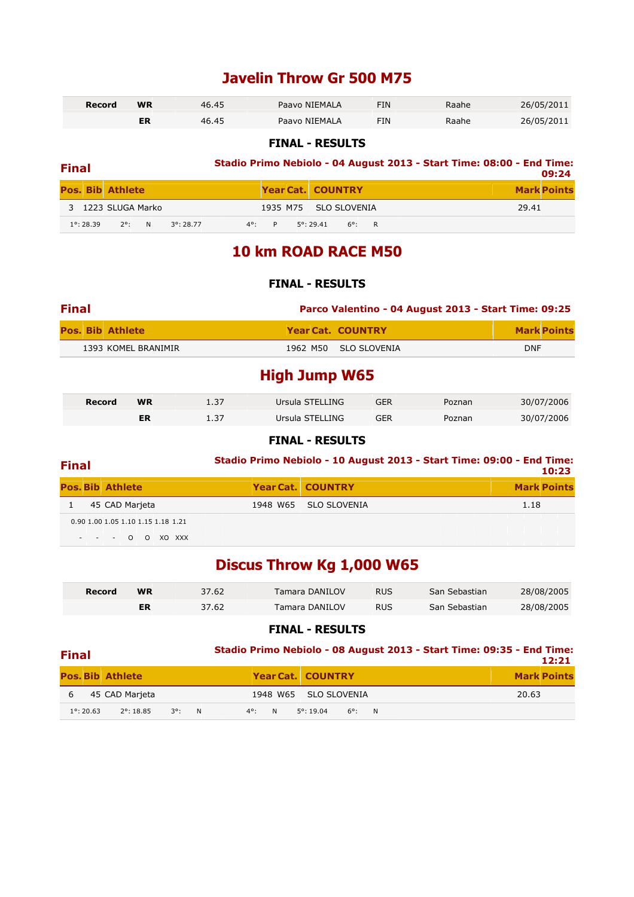### **Javelin Throw Gr 500 M75**

| Record | <b>WR</b> | 46.45 | Paavo NIEMALA | FIN | Raahe | 26/05/2011 |
|--------|-----------|-------|---------------|-----|-------|------------|
|        |           | 46.45 | Paavo NIEMALA | FIN | Raahe | 26/05/2011 |

#### **FINAL - RESULTS**

| <b>Final</b> |                     |                         |   |                     | Stadio Primo Nebiolo - 04 August 2013 - Start Time: 08:00 - End Time:<br>09:24 |    |  |                          |               |   |  |                    |  |
|--------------|---------------------|-------------------------|---|---------------------|--------------------------------------------------------------------------------|----|--|--------------------------|---------------|---|--|--------------------|--|
|              |                     | <b>Pos. Bib Athlete</b> |   |                     |                                                                                |    |  | <b>Year Cat. COUNTRY</b> |               |   |  | <b>Mark Points</b> |  |
|              |                     | 3 1223 SLUGA Marko      |   |                     |                                                                                |    |  | 1935 M75 SLO SLOVENIA    |               |   |  | 29.41              |  |
|              | $1^{\circ}$ : 28.39 | $2^{\circ}$             | N | $3^{\circ}$ : 28.77 | $4^{\circ}$ :                                                                  | P. |  | $5^{\circ}$ : 29.41      | $6^{\circ}$ : | R |  |                    |  |

### **10 km ROAD RACE M50**

#### **FINAL - RESULTS**

| <b>Final</b> |                         | Parco Valentino - 04 August 2013 - Start Time: 09:25 |                          |            |                    |
|--------------|-------------------------|------------------------------------------------------|--------------------------|------------|--------------------|
|              | <b>Pos. Bib Athlete</b> |                                                      | <b>Year Cat. COUNTRY</b> |            | <b>Mark Points</b> |
|              | 1393 KOMEL BRANIMIR     |                                                      | 1962 M50 SLO SLOVENIA    | <b>DNF</b> |                    |

### **High Jump W65**

| Record | <b>WR</b> | 1.37 | Ursula STELLING | <b>GER</b> | Poznan | 30/07/2006 |
|--------|-----------|------|-----------------|------------|--------|------------|
|        | ER        | 1.37 | Ursula STELLING | GER        | Poznan | 30/07/2006 |

#### **FINAL - RESULTS**

### **Final Stadio Primo Nebiolo - 10 August 2013 - Start Time: 09:00 - End Time:**

| .                                  |                          | 10:23              |
|------------------------------------|--------------------------|--------------------|
| <b>Pos. Bib Athlete</b>            | <b>Year Cat. COUNTRY</b> | <b>Mark Points</b> |
| 45 CAD Marjeta                     | 1948 W65 SLO SLOVENIA    | 1.18               |
| 0.90 1.00 1.05 1.10 1.15 1.18 1.21 |                          |                    |
| - - - 0 0 XO XXX                   |                          |                    |

### **Discus Throw Kg 1,000 W65**

| Record | WR | 37.62 | Tamara DANILOV        | <b>RUS</b> | San Sebastian | 28/08/2005 |
|--------|----|-------|-----------------------|------------|---------------|------------|
|        | ER | 37.62 | <b>Tamara DANILOV</b> | <b>RUS</b> | San Sebastian | 28/08/2005 |

#### **FINAL - RESULTS**

#### **Final Stadio Primo Nebiolo - 08 August 2013 - Start Time: 09:35 - End Time: 12:21**

|   |                     |                         |  |  |                                | 12:ZI              |  |
|---|---------------------|-------------------------|--|--|--------------------------------|--------------------|--|
|   |                     | <b>Pos. Bib Athlete</b> |  |  | <b>Year Cat. COUNTRY</b>       | <b>Mark Points</b> |  |
| 6 |                     | 45 CAD Marieta          |  |  | 1948 W65 SLO SLOVENIA          | 20.63              |  |
|   | $1^{\circ}$ : 20.63 | 2°: 18.85 3°: N         |  |  | $4^{\circ}$ : N 5°:19.04 6°: N |                    |  |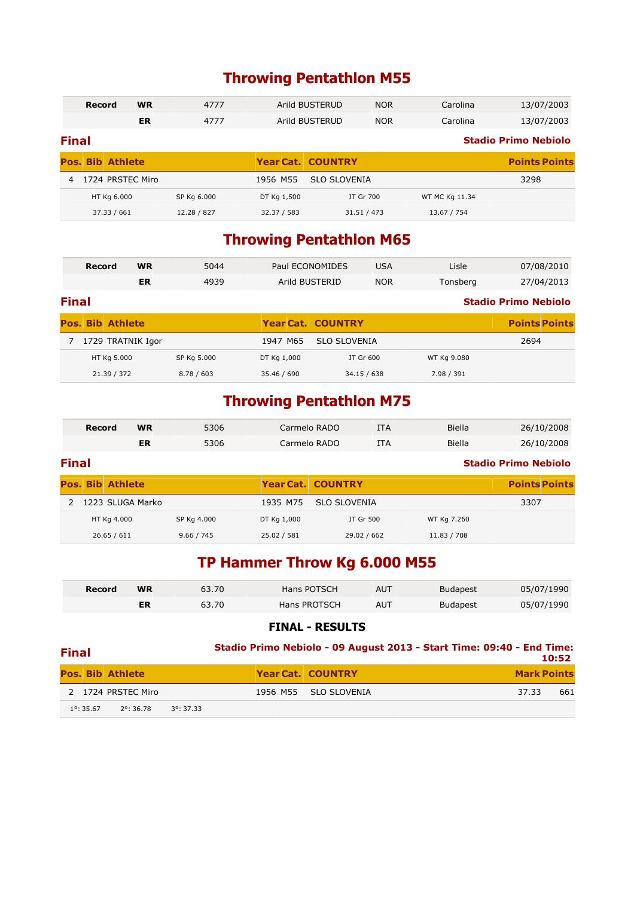### **Throwing Pentathlon M55**

|                | <b>WR</b><br>4777<br>Record |    |             | Arild BUSTERUD | <b>NOR</b>               | Carolina   | 13/07/2003     |                             |
|----------------|-----------------------------|----|-------------|----------------|--------------------------|------------|----------------|-----------------------------|
|                |                             | ER | 4777        |                | Arild BUSTERUD           | <b>NOR</b> | Carolina       | 13/07/2003                  |
| <b>Final</b>   |                             |    |             |                |                          |            |                | <b>Stadio Primo Nebiolo</b> |
|                | <b>Pos. Bib Athlete</b>     |    |             |                | <b>Year Cat. COUNTRY</b> |            |                | <b>Points Points</b>        |
| $\overline{4}$ | 1724 PRSTEC Miro            |    |             | 1956 M55       | <b>SLO SLOVENIA</b>      |            |                | 3298                        |
|                | HT Kg 6.000                 |    | SP Kg 6.000 | DT Kg 1,500    | JT Gr 700                |            | WT MC Kg 11.34 |                             |
|                | 37.33 / 661                 |    | 12.28 / 827 | 32.37 / 583    | 31.51 / 473              |            | 13.67 / 754    |                             |

### **Throwing Pentathlon M65**

|              | <b>Record</b>           | <b>WR</b> | 5044        |             | Paul ECONOMIDES          | <b>USA</b> | Lisle       | 07/08/2010                  |
|--------------|-------------------------|-----------|-------------|-------------|--------------------------|------------|-------------|-----------------------------|
|              |                         | ER        | 4939        |             | Arild BUSTERID           | <b>NOR</b> | Tonsberg    | 27/04/2013                  |
| <b>Final</b> |                         |           |             |             |                          |            |             | <b>Stadio Primo Nebiolo</b> |
|              | <b>Pos. Bib Athlete</b> |           |             |             | <b>Year Cat. COUNTRY</b> |            |             | <b>Points Points</b>        |
|              | 1729 TRATNIK Igor       |           |             | 1947 M65    | <b>SLO SLOVENIA</b>      |            |             | 2694                        |
|              | HT Kg 5.000             |           | SP Kg 5.000 | DT Kg 1,000 | JT Gr 600                |            | WT Kg 9.080 |                             |
|              | 21.39 / 372             |           | 8.78 / 603  | 35.46 / 690 | 34.15 / 638              |            | 7.98 / 391  |                             |

### **Throwing Pentathlon M75**

| <b>Record</b> | WR | 5306 | Carmelo RADO | ITA | Biella | 26/10/2008 |
|---------------|----|------|--------------|-----|--------|------------|
|               | ER | 5306 | Carmelo RADO | ITA | Biella | 26/10/2008 |

#### **Final Stadio Primo Nebiolo**

|  | <b>Pos. Bib Athlete</b> |             |             | <b>Year Cat. COUNTRY</b> |             | <b>Points Points</b> |
|--|-------------------------|-------------|-------------|--------------------------|-------------|----------------------|
|  | 2 1223 SLUGA Marko      |             |             | 1935 M75 SLO SLOVENIA    |             | 3307                 |
|  | HT Kg 4.000             | SP Kg 4.000 | DT Kg 1,000 | JT Gr 500                | WT Kg 7.260 |                      |
|  | 26.65 / 611             | 9.66 / 745  | 25.02 / 581 | 29.02 / 662              | 11.83 / 708 |                      |

### **TP Hammer Throw Kg 6.000 M55**

| Record | <b>WR</b> | 63.70 | Hans POTSCH  | AUT | <b>Budapest</b> | 05/07/1990 |
|--------|-----------|-------|--------------|-----|-----------------|------------|
|        | ER        | 63.70 | Hans PROTSCH | AUT | <b>Budapest</b> | 05/07/1990 |

| <b>Final</b>                                                      | Stadio Primo Nebiolo - 09 August 2013 - Start Time: 09:40 - End Time:<br>10:52 |                          |                    |  |  |  |
|-------------------------------------------------------------------|--------------------------------------------------------------------------------|--------------------------|--------------------|--|--|--|
| <b>Pos. Bib Athlete</b>                                           |                                                                                | <b>Year Cat. COUNTRY</b> | <b>Mark Points</b> |  |  |  |
| 2 1724 PRSTEC Miro                                                | 1956 M55                                                                       | SLO SLOVENIA             | 661<br>37.33       |  |  |  |
| $1^{\circ}$ : 35.67<br>$2^{\circ}$ : 36.78<br>$3^{\circ}$ : 37.33 |                                                                                |                          |                    |  |  |  |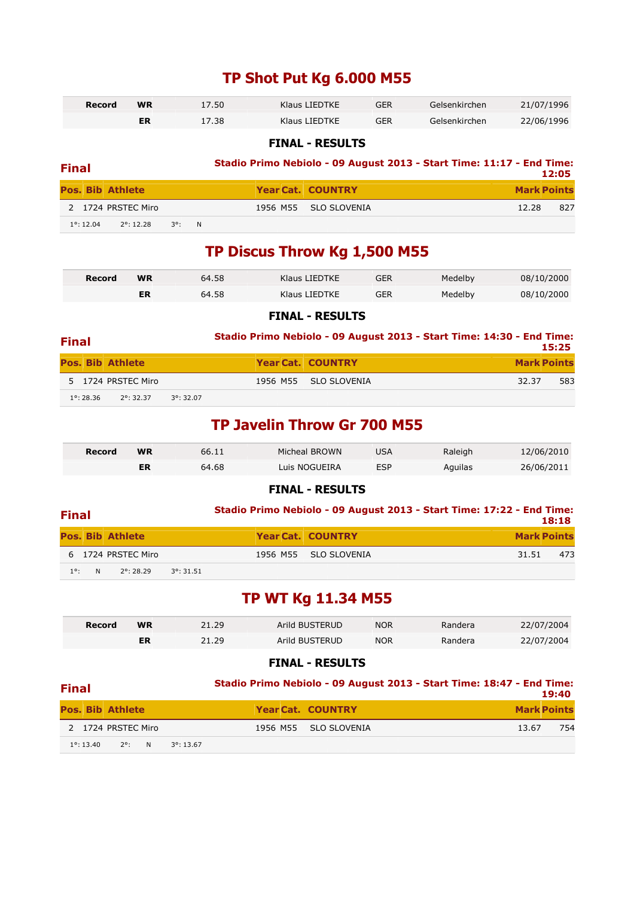### **TP Shot Put Kg 6.000 M55**

| Record | 17.50<br><b>WR</b> |       | Klaus LIEDTKE | GER | Gelsenkirchen | 21/07/1996 |
|--------|--------------------|-------|---------------|-----|---------------|------------|
|        |                    | 17.38 | Klaus LIEDTKE | GER | Gelsenkirchen | 22/06/1996 |

#### **FINAL - RESULTS**

| <b>Final</b>            |                     |                 |  | Stadio Primo Nebiolo - 09 August 2013 - Start Time: 11:17 - End Time:<br>12:05 |  |                          |       |                    |
|-------------------------|---------------------|-----------------|--|--------------------------------------------------------------------------------|--|--------------------------|-------|--------------------|
| <b>Pos. Bib Athlete</b> |                     |                 |  |                                                                                |  | <b>Year Cat. COUNTRY</b> |       | <b>Mark Points</b> |
|                         | 2 1724 PRSTEC Miro  |                 |  |                                                                                |  | 1956 M55 SLO SLOVENIA    | 12.28 | 827                |
| $1^{\circ}$ : 12.04     | $2^{\circ}$ : 12.28 | $3^{\circ}$ : N |  |                                                                                |  |                          |       |                    |

### **TP Discus Throw Kg 1,500 M55**

| Record | <b>WR</b> | 64.58 | Klaus LIEDTKE | GER | Medelby | 08/10/2000 |
|--------|-----------|-------|---------------|-----|---------|------------|
|        |           | 64.58 | Klaus LIEDTKE | GER | Medelby | 08/10/2000 |

#### **FINAL - RESULTS**

| <b>Final</b>            |                    |                     | Stadio Primo Nebiolo - 09 August 2013 - Start Time: 14:30 - End Time: |                    | 15:25 |
|-------------------------|--------------------|---------------------|-----------------------------------------------------------------------|--------------------|-------|
| <b>Pos. Bib Athlete</b> |                    |                     | <b>Year Cat. COUNTRY</b>                                              | <b>Mark Points</b> |       |
|                         | 5 1724 PRSTEC Miro |                     | 1956 M55 SLO SLOVENIA                                                 | 32.37              | 583   |
| $1^{\circ}$ : 28.36     | 2°: 32.37          | $3^{\circ}$ : 32.07 |                                                                       |                    |       |

### **TP Javelin Throw Gr 700 M55**

| Record | <b>WR</b> | 66.11 | Micheal BROWN | USA        | Raleigh | 12/06/2010 |
|--------|-----------|-------|---------------|------------|---------|------------|
|        | ΕR        | 64.68 | Luis NOGUEIRA | <b>ESP</b> | Aguilas | 26/06/2011 |

#### **FINAL - RESULTS**

| <b>Final</b>  |   |                         |                     |  | Stadio Primo Nebiolo - 09 August 2013 - Start Time: 17:22 - End Time: |       | 18:18              |
|---------------|---|-------------------------|---------------------|--|-----------------------------------------------------------------------|-------|--------------------|
|               |   | <b>Pos. Bib Athlete</b> |                     |  | <b>Year Cat. COUNTRY</b>                                              |       | <b>Mark Points</b> |
|               |   | 6 1724 PRSTEC Miro      |                     |  | 1956 M55 SLO SLOVENIA                                                 | 31.51 | 473                |
| $1^{\circ}$ : | N | $2^{\circ}$ : 28.29     | $3^{\circ}$ : 31.51 |  |                                                                       |       |                    |

### **TP WT Kg 11.34 M55**

| Record | WR | 21.29 | Arild BUSTERUD | <b>NOR</b> | Randera | 22/07/2004 |
|--------|----|-------|----------------|------------|---------|------------|
|        | ER | 21.29 | Arild BUSTERUD | <b>NOR</b> | Randera | 22/07/2004 |

#### **FINAL - RESULTS**

### **Final Stadio Primo Nebiolo - 09 August 2013 - Start Time: 18:47 - End Time:**

| .                                                             |                       | 19:40              |
|---------------------------------------------------------------|-----------------------|--------------------|
| <b>Pos. Bib Athlete</b>                                       | Year Cat. COUNTRY     | <b>Mark Points</b> |
| 2 1724 PRSTEC Miro                                            | 1956 M55 SLO SLOVENIA | 754<br>13.67       |
| $1^{\circ}$ : 13.40<br>$2^{\circ}$ : N<br>$3^{\circ}$ : 13.67 |                       |                    |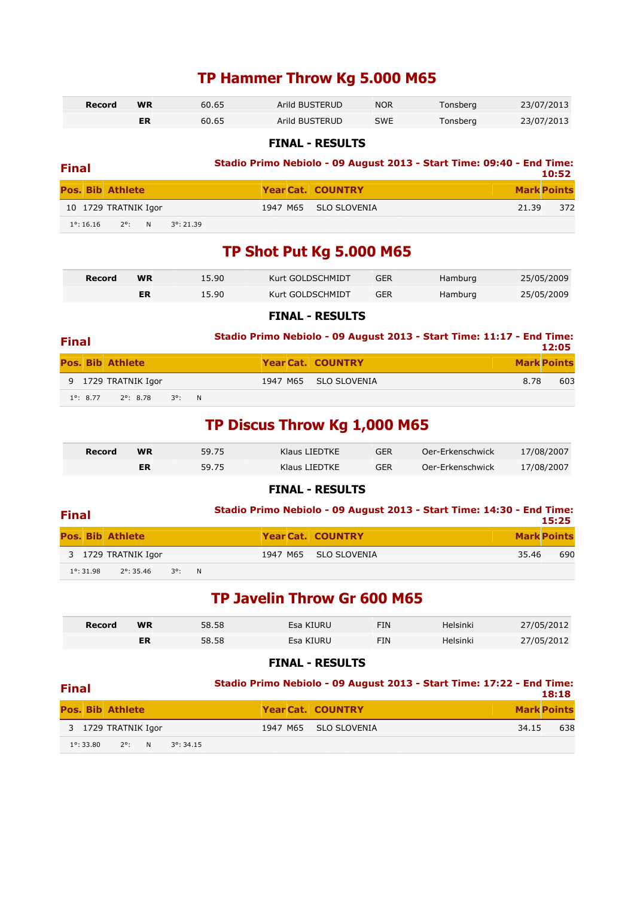### **TP Hammer Throw Kg 5.000 M65**

| Record | <b>WR</b> | 60.65 | Arild BUSTERUD | <b>NOR</b> | Tonsberg | 23/07/2013 |
|--------|-----------|-------|----------------|------------|----------|------------|
|        |           | 60.65 | Arild BUSTERUD | <b>SWE</b> | Tonsberg | 23/07/2013 |

**FINAL - RESULTS** 

| <b>Final</b>            |                    |  |                     | Stadio Primo Nebiolo - 09 August 2013 - Start Time: 09:40 - End Time:<br>10:52 |  |                          |                    |     |  |  |  |
|-------------------------|--------------------|--|---------------------|--------------------------------------------------------------------------------|--|--------------------------|--------------------|-----|--|--|--|
| <b>Pos. Bib Athlete</b> |                    |  |                     |                                                                                |  | <b>Year Cat. COUNTRY</b> | <b>Mark Points</b> |     |  |  |  |
| 10 1729 TRATNIK Igor    |                    |  |                     |                                                                                |  | 1947 M65 SLO SLOVENIA    | 21.39              | 372 |  |  |  |
| $1^{\circ}$ : 16.16     | N<br>$2^{\circ}$ : |  | $3^{\circ}$ : 21.39 |                                                                                |  |                          |                    |     |  |  |  |

### **TP Shot Put Kg 5.000 M65**

| Record | <b>WR</b> | 15.90 | Kurt GOLDSCHMIDT | <b>GER</b> | Hamburg | 25/05/2009 |
|--------|-----------|-------|------------------|------------|---------|------------|
|        | ER        | 15.90 | Kurt GOLDSCHMIDT | GER        | Hamburg | 25/05/2009 |

#### **FINAL - RESULTS**

| <b>Final</b> |                    |                     |  |  | Stadio Primo Nebiolo - 09 August 2013 - Start Time: 11:17 - End Time: |                    | 12:05 |
|--------------|--------------------|---------------------|--|--|-----------------------------------------------------------------------|--------------------|-------|
|              |                    | Pos. Bib Athlete    |  |  | Year Cat. COUNTRY                                                     | <b>Mark Points</b> |       |
|              |                    | 9 1729 TRATNIK Igor |  |  | 1947 M65 SLO SLOVENIA                                                 | 8.78               | 603   |
|              | $1^{\circ}$ : 8.77 | 2°: 8.78 3°: N      |  |  |                                                                       |                    |       |

### **TP Discus Throw Kg 1,000 M65**

| Record | WR | 59.75 | Klaus LIEDTKE | GER        | Oer-Erkenschwick | 17/08/2007 |
|--------|----|-------|---------------|------------|------------------|------------|
|        |    | 59.75 | Klaus LIEDTKE | <b>GER</b> | Oer-Erkenschwick | 17/08/2007 |

#### **FINAL - RESULTS**

| <b>Final</b>            |                                     |  |                          | Stadio Primo Nebiolo - 09 August 2013 - Start Time: 14:30 - End Time: | 15:25 |
|-------------------------|-------------------------------------|--|--------------------------|-----------------------------------------------------------------------|-------|
| <b>Pos. Bib Athlete</b> |                                     |  | <b>Year Cat. COUNTRY</b> | <b>Mark Points</b>                                                    |       |
|                         | 3 1729 TRATNIK Igor                 |  | 1947 M65 SLO SLOVENIA    | 35.46                                                                 | 690   |
| $1^{\circ}$ : 31.98     | $2^{\circ}$ : 35.46 $3^{\circ}$ : N |  |                          |                                                                       |       |

### **TP Javelin Throw Gr 600 M65**

| Record | <b>WR</b> | 58.58 | Esa KIURU | FIN | Helsinki | 27/05/2012 |
|--------|-----------|-------|-----------|-----|----------|------------|
|        | ER        | 58.58 | Esa KIURU | FIN | Helsinki | 27/05/2012 |

#### **FINAL - RESULTS**

### **Final Stadio Primo Nebiolo - 09 August 2013 - Start Time: 17:22 - End Time:**

| .                                                             |                          | 18:18              |
|---------------------------------------------------------------|--------------------------|--------------------|
| <b>Pos. Bib Athlete</b>                                       | <b>Year Cat. COUNTRY</b> | <b>Mark Points</b> |
| 3 1729 TRATNIK Igor                                           | 1947 M65 SLO SLOVENIA    | 638<br>34.15       |
| $1^{\circ}$ : 33.80<br>$3^{\circ}$ : 34.15<br>$2^{\circ}$ : N |                          |                    |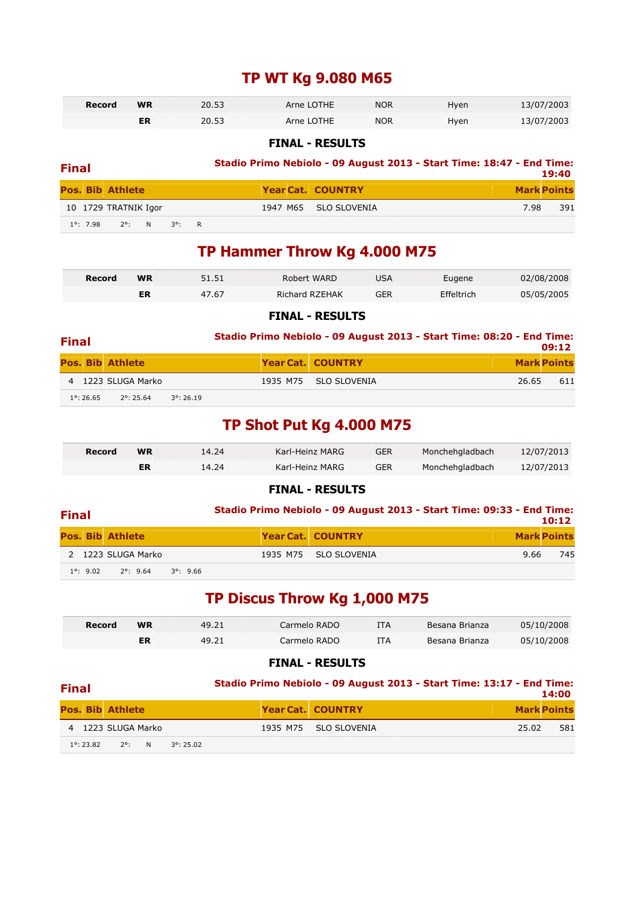### **TP WT Kg 9.080 M65**

| Record | <b>WR</b> | 20.53 | Arne LOTHE | <b>NOR</b> | Hven | 13/07/2003 |
|--------|-----------|-------|------------|------------|------|------------|
|        | ER        | 20.53 | Arne LOTHE | <b>NOR</b> | Hyen | 13/07/2003 |

#### **FINAL - RESULTS**

| Stadio Primo Nebiolo - 09 August 2013 - Start Time: 18:47 - End Time:<br><b>Final</b> |                    |                         |  |                 |  | 19:40 |                          |      |                    |
|---------------------------------------------------------------------------------------|--------------------|-------------------------|--|-----------------|--|-------|--------------------------|------|--------------------|
|                                                                                       |                    | <b>Pos. Bib Athlete</b> |  |                 |  |       | <b>Year Cat. COUNTRY</b> |      | <b>Mark Points</b> |
|                                                                                       |                    | 10 1729 TRATNIK Igor    |  |                 |  |       | 1947 M65 SLO SLOVENIA    | 7.98 | 391                |
|                                                                                       | $1^{\circ}$ : 7.98 | 2°: N                   |  | $3^{\circ}$ : R |  |       |                          |      |                    |

### **TP Hammer Throw Kg 4.000 M75**

| Record | <b>WR</b> | 51.51 | Robert WARD    | USA | Eugene     | 02/08/2008 |
|--------|-----------|-------|----------------|-----|------------|------------|
|        | ER        | 47.67 | Richard RZEHAK | GER | Effeltrich | 05/05/2005 |

#### **FINAL - RESULTS**

| <b>Final</b> |                     |                         |                     |                          | Stadio Primo Nebiolo - 09 August 2013 - Start Time: 08:20 - End Time:<br>09:12 |     |
|--------------|---------------------|-------------------------|---------------------|--------------------------|--------------------------------------------------------------------------------|-----|
|              |                     | <b>Pos. Bib Athlete</b> |                     | <b>Year Cat. COUNTRY</b> | <b>Mark Points</b>                                                             |     |
|              |                     | 4 1223 SLUGA Marko      |                     | 1935 M75 SLO SLOVENIA    | 26.65                                                                          | 611 |
|              | $1^{\circ}$ : 26.65 | $2^{\circ}$ : 25.64     | $3^{\circ}$ : 26.19 |                          |                                                                                |     |

### **TP Shot Put Kg 4.000 M75**

| Record | 14.24<br><b>WR</b> |       | Karl-Heinz MARG | <b>GER</b> | Monchehgladbach | 12/07/2013 |
|--------|--------------------|-------|-----------------|------------|-----------------|------------|
|        |                    | 14.24 | Karl-Heinz MARG | <b>GER</b> | Monchehgladbach | 12/07/2013 |

#### **FINAL - RESULTS**

| <b>Final</b> |                    |                                          |                          | Stadio Primo Nebiolo - 09 August 2013 - Start Time: 09:33 - End Time:<br>10:12 |
|--------------|--------------------|------------------------------------------|--------------------------|--------------------------------------------------------------------------------|
|              |                    | <b>Pos. Bib Athlete</b>                  | <b>Year Cat. COUNTRY</b> | <b>Mark Points</b>                                                             |
|              |                    | 2 1223 SLUGA Marko                       | 1935 M75 SLO SLOVENIA    | 745<br>9.66                                                                    |
|              | $1^{\circ}$ : 9.02 | $2^{\circ}$ : 9.64<br>$3^{\circ}$ : 9.66 |                          |                                                                                |

### **TP Discus Throw Kg 1,000 M75**

| Record | <b>WR</b><br>49.21 |       | Carmelo RADO |     | Besana Brianza | 05/10/2008 |
|--------|--------------------|-------|--------------|-----|----------------|------------|
|        | ER                 | 49.21 | Carmelo RADO | ITA | Besana Brianza | 05/10/2008 |

#### **FINAL - RESULTS**

### **Final Stadio Primo Nebiolo - 09 August 2013 - Start Time: 13:17 - End Time:**

| .                   |                         |   |                     |                          |       | 14:00              |
|---------------------|-------------------------|---|---------------------|--------------------------|-------|--------------------|
|                     | <b>Pos. Bib Athlete</b> |   |                     | <b>Year Cat. COUNTRY</b> |       | <b>Mark Points</b> |
|                     | 4 1223 SLUGA Marko      |   |                     | 1935 M75 SLO SLOVENIA    | 25.02 | 581                |
| $1^{\circ}$ : 23.82 | $2^\circ$ :             | N | $3^{\circ}$ : 25.02 |                          |       |                    |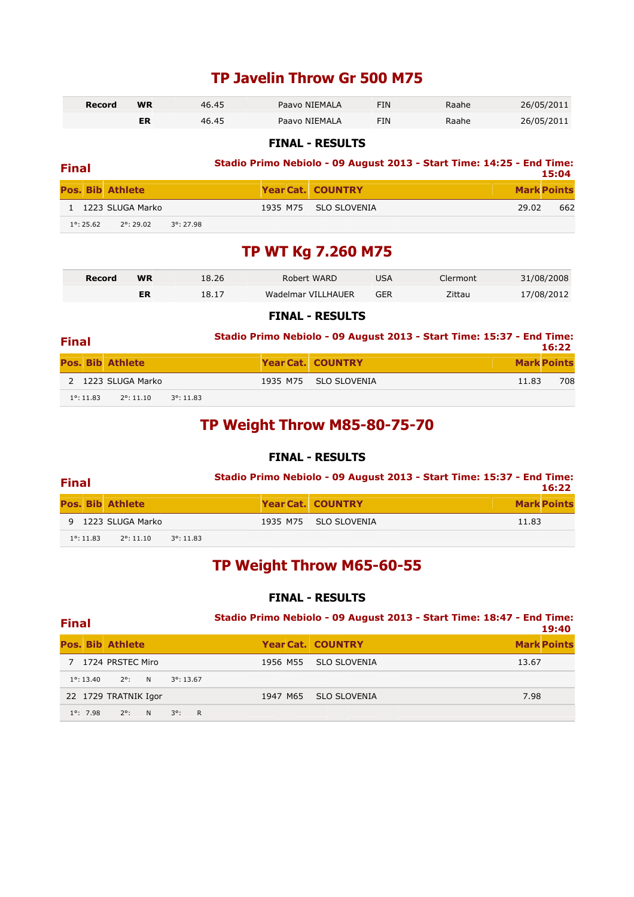### **TP Javelin Throw Gr 500 M75**

| Record | <b>WR</b> | 46.45 | Paavo NIEMALA | FIN | Raahe | 26/05/2011 |
|--------|-----------|-------|---------------|-----|-------|------------|
|        |           | 46.45 | Paavo NIEMALA | FIN | Raahe | 26/05/2011 |

#### **FINAL - RESULTS**

| <b>Final</b> |                     |                         |                     | Stadio Primo Nebiolo - 09 August 2013 - Start Time: 14:25 - End Time: |       | 15:04              |
|--------------|---------------------|-------------------------|---------------------|-----------------------------------------------------------------------|-------|--------------------|
|              |                     | <b>Pos. Bib Athlete</b> |                     | <b>Year Cat. COUNTRY</b>                                              |       | <b>Mark Points</b> |
|              |                     | 1 1223 SLUGA Marko      |                     | 1935 M75 SLO SLOVENIA                                                 | 29.02 | 662                |
|              | $1^{\circ}$ : 25.62 | $2^{\circ}$ : 29.02     | $3^{\circ}$ : 27.98 |                                                                       |       |                    |

### **TP WT Kg 7.260 M75**

| Record | 18.26<br><b>WR</b> |       | Robert WARD        | IJSA       | Clermont | 31/08/2008 |
|--------|--------------------|-------|--------------------|------------|----------|------------|
|        | ER                 | 18.17 | Wadelmar VILLHAUER | <b>GFR</b> | Zittau   | 17/08/2012 |

#### **FINAL - RESULTS**

| <b>Final</b> |                     |                         |                     | Stadio Primo Nebiolo - 09 August 2013 - Start Time: 15:37 - End Time: | 16:22              |
|--------------|---------------------|-------------------------|---------------------|-----------------------------------------------------------------------|--------------------|
|              |                     | <b>Pos. Bib Athlete</b> |                     | <b>Year Cat. COUNTRY</b>                                              | <b>Mark Points</b> |
|              |                     | 2 1223 SLUGA Marko      |                     | 1935 M75 SLO SLOVENIA                                                 | 708<br>11.83       |
|              | $1^{\circ}$ : 11.83 | $2^{\circ}$ : 11.10     | $3^{\circ}$ : 11.83 |                                                                       |                    |

### **TP Weight Throw M85-80-75-70**

### **FINAL - RESULTS**

| <b>Final</b> |                     |                         |                     | Stadio Primo Nebiolo - 09 August 2013 - Start Time: 15:37 - End Time:<br>16:22 |                          |                    |  |  |
|--------------|---------------------|-------------------------|---------------------|--------------------------------------------------------------------------------|--------------------------|--------------------|--|--|
|              |                     | <b>Pos. Bib Athlete</b> |                     |                                                                                | <b>Year Cat. COUNTRY</b> | <b>Mark Points</b> |  |  |
|              |                     | 9 1223 SLUGA Marko      |                     |                                                                                | 1935 M75 SLO SLOVENIA    | 11.83              |  |  |
|              | $1^{\circ}$ : 11.83 | $2^{\circ}$ : 11.10     | $3^{\circ}$ : 11.83 |                                                                                |                          |                    |  |  |

### **TP Weight Throw M65-60-55**

| <b>Final</b>                                                   | Stadio Primo Nebiolo - 09 August 2013 - Start Time: 18:47 - End Time:<br>19:40 |                          |                    |  |  |
|----------------------------------------------------------------|--------------------------------------------------------------------------------|--------------------------|--------------------|--|--|
| <b>Pos. Bib Athlete</b>                                        |                                                                                | <b>Year Cat. COUNTRY</b> | <b>Mark Points</b> |  |  |
| 7 1724 PRSTEC Miro                                             | 1956 M55                                                                       | <b>SLO SLOVENIA</b>      | 13.67              |  |  |
| $2^{\circ}$<br>$1^{\circ}$ : 13.40<br>N<br>$3^{\circ}$ : 13.67 |                                                                                |                          |                    |  |  |
| 22 1729 TRATNIK Igor                                           | 1947 M65                                                                       | <b>SLO SLOVENIA</b>      | 7.98               |  |  |
| $1^{\circ}$ : 7.98<br>R<br>$2^{\circ}$ :<br>$3^{\circ}$ :<br>N |                                                                                |                          |                    |  |  |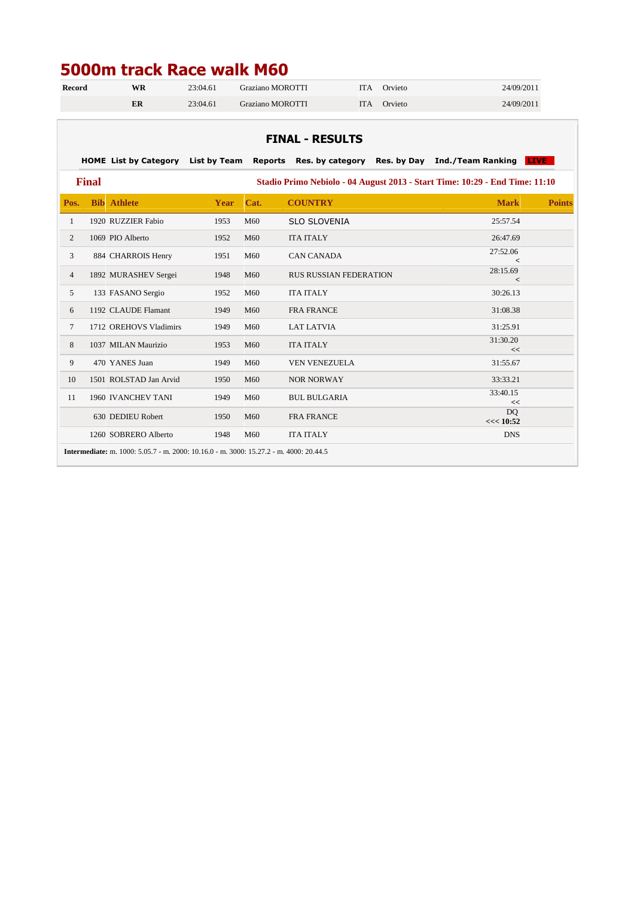# **5000m track Race walk M60**

| <b>Record</b>  | <b>WR</b>                                                                                     | 23:04.61 | Graziano MOROTTI |                               | <b>ITA</b> | Orvieto | 24/09/2011                                |               |  |  |  |
|----------------|-----------------------------------------------------------------------------------------------|----------|------------------|-------------------------------|------------|---------|-------------------------------------------|---------------|--|--|--|
|                | ER                                                                                            | 23:04.61 | Graziano MOROTTI |                               | <b>ITA</b> | Orvieto | 24/09/2011                                |               |  |  |  |
|                |                                                                                               |          |                  |                               |            |         |                                           |               |  |  |  |
|                | <b>FINAL - RESULTS</b>                                                                        |          |                  |                               |            |         |                                           |               |  |  |  |
|                |                                                                                               |          |                  |                               |            |         |                                           |               |  |  |  |
|                | HOME List by Category List by Team                                                            |          |                  | Reports Res. by category      |            |         | Res. by Day Ind./Team Ranking <b>LIVE</b> |               |  |  |  |
|                | <b>Final</b><br>Stadio Primo Nebiolo - 04 August 2013 - Start Time: 10:29 - End Time: 11:10   |          |                  |                               |            |         |                                           |               |  |  |  |
| Pos.           | <b>Bib</b> Athlete                                                                            | Year     | Cat.             | <b>COUNTRY</b>                |            |         | <b>Mark</b>                               | <b>Points</b> |  |  |  |
| 1              | 1920 RUZZIER Fabio                                                                            | 1953     | M60              | <b>SLO SLOVENIA</b>           |            |         | 25:57.54                                  |               |  |  |  |
| 2              | 1069 PIO Alberto                                                                              | 1952     | M60              | <b>ITA ITALY</b>              |            |         | 26:47.69                                  |               |  |  |  |
| 3              | 884 CHARROIS Henry                                                                            | 1951     | M60              | <b>CAN CANADA</b>             |            |         | 27:52.06<br>$\lt$                         |               |  |  |  |
| $\overline{4}$ | 1892 MURASHEV Sergei                                                                          | 1948     | M60              | <b>RUS RUSSIAN FEDERATION</b> |            |         | 28:15.69                                  |               |  |  |  |
| 5              | 133 FASANO Sergio                                                                             | 1952     | M60              | <b>ITA ITALY</b>              |            |         | $\prec$<br>30:26.13                       |               |  |  |  |
| 6              | 1192 CLAUDE Flamant                                                                           | 1949     | M60              | <b>FRA FRANCE</b>             |            |         | 31:08.38                                  |               |  |  |  |
| $\tau$         | 1712 OREHOVS Vladimirs                                                                        | 1949     | M60              | <b>LAT LATVIA</b>             |            |         | 31:25.91                                  |               |  |  |  |
| 8              | 1037 MILAN Maurizio                                                                           | 1953     | M60              | <b>ITA ITALY</b>              |            |         | 31:30.20                                  |               |  |  |  |
| 9              | 470 YANES Juan                                                                                | 1949     | M60              | <b>VEN VENEZUELA</b>          |            |         | <<<br>31:55.67                            |               |  |  |  |
| 10             | 1501 ROLSTAD Jan Arvid                                                                        | 1950     | M60              | <b>NOR NORWAY</b>             |            |         | 33:33.21                                  |               |  |  |  |
| 11             | 1960 IVANCHEV TANI                                                                            | 1949     | M60              | <b>BUL BULGARIA</b>           |            |         | 33:40.15                                  |               |  |  |  |
|                | 630 DEDIEU Robert                                                                             | 1950     | M60              | <b>FRA FRANCE</b>             |            |         | <<<br>D <sub>O</sub><br><< 10:52          |               |  |  |  |
|                | 1260 SOBRERO Alberto                                                                          | 1948     | M <sub>60</sub>  | <b>ITA ITALY</b>              |            |         | <b>DNS</b>                                |               |  |  |  |
|                | <b>Intermediate:</b> m. 1000: 5.05.7 - m. 2000: 10.16.0 - m. 3000: 15.27.2 - m. 4000: 20.44.5 |          |                  |                               |            |         |                                           |               |  |  |  |